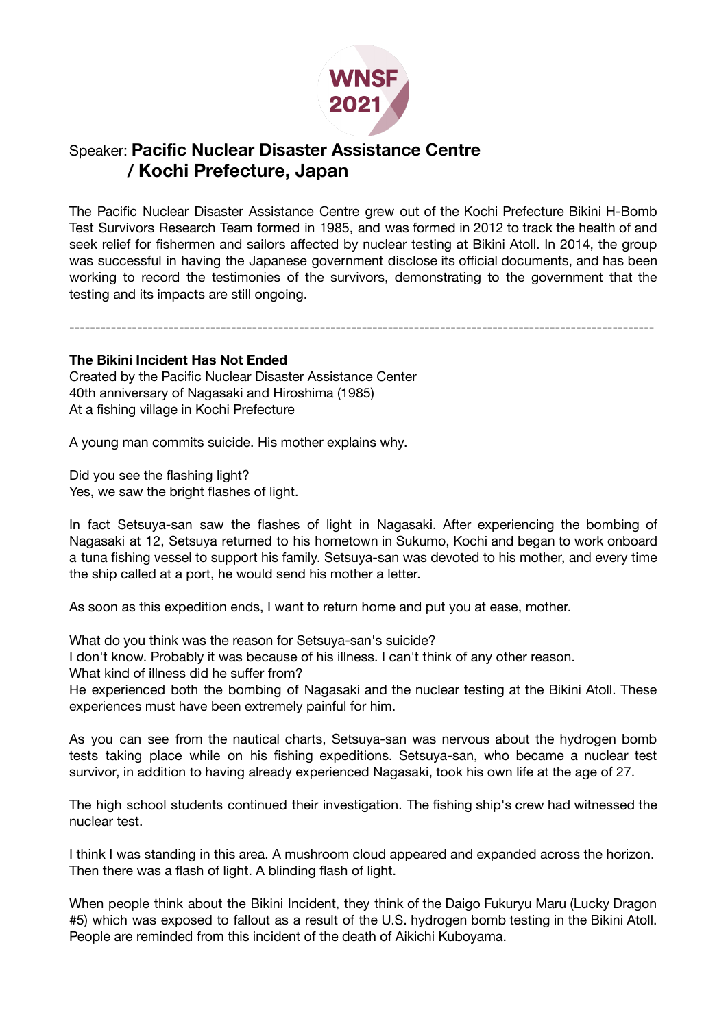

## Speaker: **Pacific Nuclear Disaster Assistance Centre / Kochi Prefecture, Japan**

The Pacific Nuclear Disaster Assistance Centre grew out of the Kochi Prefecture Bikini H-Bomb Test Survivors Research Team formed in 1985, and was formed in 2012 to track the health of and seek relief for fishermen and sailors affected by nuclear testing at Bikini Atoll. In 2014, the group was successful in having the Japanese government disclose its official documents, and has been working to record the testimonies of the survivors, demonstrating to the government that the testing and its impacts are still ongoing.

----------------------------------------------------------------------------------------------------------------

## **The Bikini Incident Has Not Ended**

Created by the Pacific Nuclear Disaster Assistance Center 40th anniversary of Nagasaki and Hiroshima (1985) At a fishing village in Kochi Prefecture

A young man commits suicide. His mother explains why.

Did you see the flashing light? Yes, we saw the bright flashes of light.

In fact Setsuya-san saw the flashes of light in Nagasaki. After experiencing the bombing of Nagasaki at 12, Setsuya returned to his hometown in Sukumo, Kochi and began to work onboard a tuna fishing vessel to support his family. Setsuya-san was devoted to his mother, and every time the ship called at a port, he would send his mother a letter.

As soon as this expedition ends, I want to return home and put you at ease, mother.

What do you think was the reason for Setsuya-san's suicide?

I don't know. Probably it was because of his illness. I can't think of any other reason.

What kind of illness did he suffer from?

He experienced both the bombing of Nagasaki and the nuclear testing at the Bikini Atoll. These experiences must have been extremely painful for him.

As you can see from the nautical charts, Setsuya-san was nervous about the hydrogen bomb tests taking place while on his fishing expeditions. Setsuya-san, who became a nuclear test survivor, in addition to having already experienced Nagasaki, took his own life at the age of 27.

The high school students continued their investigation. The fishing ship's crew had witnessed the nuclear test.

I think I was standing in this area. A mushroom cloud appeared and expanded across the horizon. Then there was a flash of light. A blinding flash of light.

When people think about the Bikini Incident, they think of the Daigo Fukuryu Maru (Lucky Dragon #5) which was exposed to fallout as a result of the U.S. hydrogen bomb testing in the Bikini Atoll. People are reminded from this incident of the death of Aikichi Kuboyama.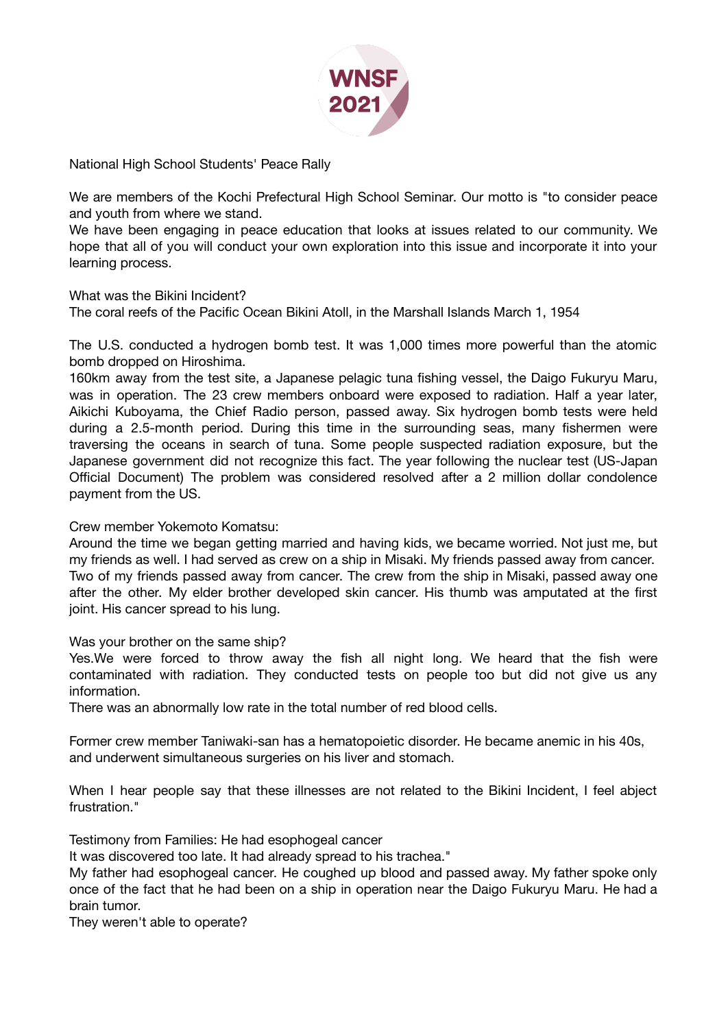

National High School Students' Peace Rally

We are members of the Kochi Prefectural High School Seminar. Our motto is "to consider peace and youth from where we stand.

We have been engaging in peace education that looks at issues related to our community. We hope that all of you will conduct your own exploration into this issue and incorporate it into your learning process.

What was the Bikini Incident?

The coral reefs of the Pacific Ocean Bikini Atoll, in the Marshall Islands March 1, 1954

The U.S. conducted a hydrogen bomb test. It was 1,000 times more powerful than the atomic bomb dropped on Hiroshima.

160km away from the test site, a Japanese pelagic tuna fishing vessel, the Daigo Fukuryu Maru, was in operation. The 23 crew members onboard were exposed to radiation. Half a year later, Aikichi Kuboyama, the Chief Radio person, passed away. Six hydrogen bomb tests were held during a 2.5-month period. During this time in the surrounding seas, many fishermen were traversing the oceans in search of tuna. Some people suspected radiation exposure, but the Japanese government did not recognize this fact. The year following the nuclear test (US-Japan Official Document) The problem was considered resolved after a 2 million dollar condolence payment from the US.

## Crew member Yokemoto Komatsu:

Around the time we began getting married and having kids, we became worried. Not just me, but my friends as well. I had served as crew on a ship in Misaki. My friends passed away from cancer. Two of my friends passed away from cancer. The crew from the ship in Misaki, passed away one after the other. My elder brother developed skin cancer. His thumb was amputated at the first joint. His cancer spread to his lung.

Was your brother on the same ship?

Yes.We were forced to throw away the fish all night long. We heard that the fish were contaminated with radiation. They conducted tests on people too but did not give us any information.

There was an abnormally low rate in the total number of red blood cells.

Former crew member Taniwaki-san has a hematopoietic disorder. He became anemic in his 40s, and underwent simultaneous surgeries on his liver and stomach.

When I hear people say that these illnesses are not related to the Bikini Incident, I feel abject frustration."

Testimony from Families: He had esophogeal cancer

It was discovered too late. It had already spread to his trachea."

My father had esophogeal cancer. He coughed up blood and passed away. My father spoke only once of the fact that he had been on a ship in operation near the Daigo Fukuryu Maru. He had a brain tumor.

They weren't able to operate?